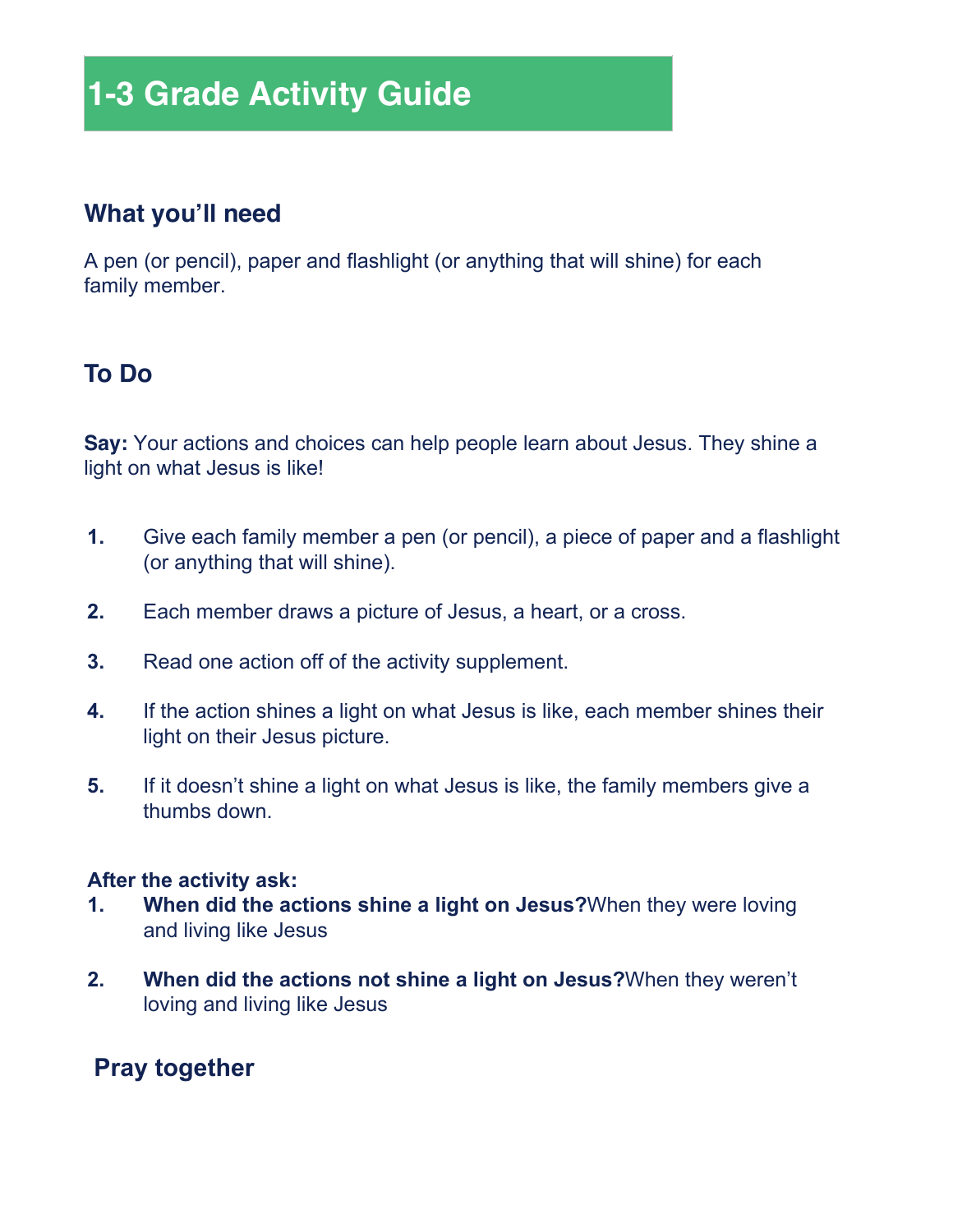# **1-3 Grade Activity Guide**

# **What you'll need**

A pen (or pencil), paper and flashlight (or anything that will shine) for each family member.

# **To Do**

**Say:** Your actions and choices can help people learn about Jesus. They shine a light on what Jesus is like!

- **1.** Give each family member a pen (or pencil), a piece of paper and a flashlight (or anything that will shine).
- **2.** Each member draws a picture of Jesus, a heart, or a cross.
- **3.** Read one action off of the activity supplement.
- **4.** If the action shines a light on what Jesus is like, each member shines their light on their Jesus picture.
- **5.** If it doesn't shine a light on what Jesus is like, the family members give a thumbs down.

#### **After the activity ask:**

- **1. When did the actions shine a light on Jesus?**When they were loving and living like Jesus
- **2. When did the actions not shine a light on Jesus?**When they weren't loving and living like Jesus

# **Pray together**